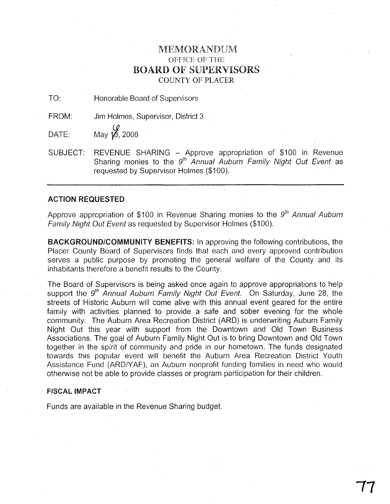## MEMORANDUM OFFICE OF THE BOARD OF SUPERVISORS COUNTY OF PLACER

TO: Honorable Board of Supervisors

FROM: Jim Holmes, Supervisor, District 3

DATE: May  $\frac{Q}{16}$ , 2008

SUBJECT: REVENUE SHARING - Approve appropriation of \$100 in Revenue Sharing monies to the  $9<sup>th</sup>$  Annual Auburn Family Night Out Event as .requested by Supervisor Holmes (\$100).

## **ACTION REQUESTED**

Approve appropriation of \$100 in Revenue Sharing monies to the  $9<sup>th</sup>$  Annual Auburn Family Night Out Event as requested by Supervisor Holmes (\$100).

**BACKGROUND/COMMUNITY BENEFITS:** In approving the following contributions, the Placer County Board of Supervisors finds that each and every approved contribution serves a public purpose by promoting the general welfare of the County and its inhabitants therefore a benefit results to the County.

The Board of Supervisors is being asked once again to approve appropriations to help support the  $9<sup>th</sup>$  Annual Auburn Family Night Out Event. On Saturday, June 28, the streets of Historic Auburn will come alive with this annual event geared for the entire· family with activities planned to provide a safe and sober evening for the whole community. The Auburn Area Recreation District (ARD) is underwriting Auburn Family Night Out this year with support from the Downtown and Old Town Business Associations. The goal of Auburn Family Night Out is to bring Downtown and Old Town together in the spirit of community and pride in our hometown. The funds designated towards this popular event will benefit the Auburn Area Recreation District Youth Assistance Fund (ARD/YAF), an Auburn nonprofit funding families in need who would otherwise not be able to provide classes or program participation for their children.

## **FISCAL IMPACT**

Funds are available in the Revenue Sharing budget.